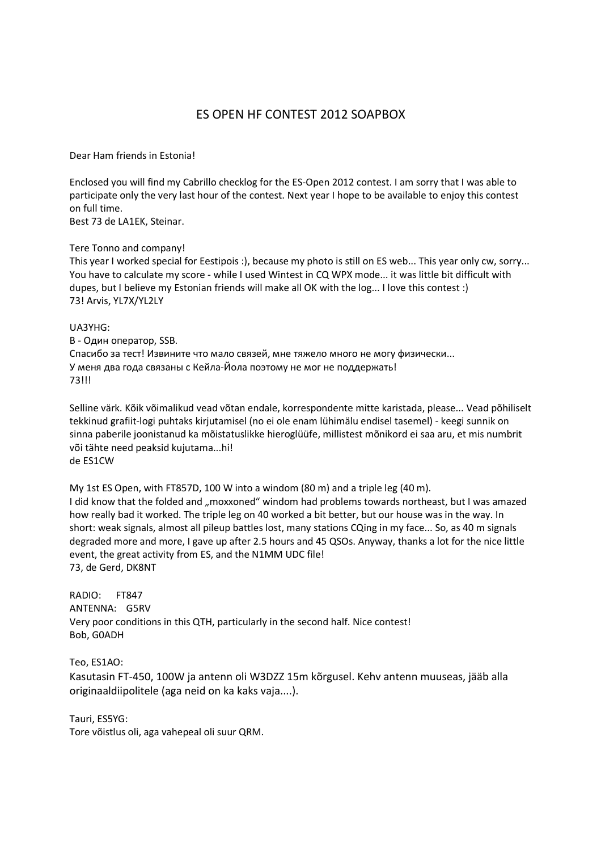## ES OPEN HF CONTEST 2012 SOAPBOX

Dear Ham friends in Estonia!

Enclosed you will find my Cabrillo checklog for the ES-Open 2012 contest. I am sorry that I was able to participate only the very last hour of the contest. Next year I hope to be available to enjoy this contest on full time.

Best 73 de LA1EK, Steinar.

Tere Tonno and company!

This year I worked special for Eestipois :), because my photo is still on ES web... This year only cw, sorry... You have to calculate my score - while I used Wintest in CQ WPX mode... it was little bit difficult with dupes, but I believe my Estonian friends will make all OK with the log... I love this contest :) 73! Arvis, YL7X/YL2LY

## UA3YHG:

B - Один оператор, SSB. Спасибо за тест! Извините что мало связей, мне тяжело много не могу физически... У меня два года связаны с Кейла-Йола поэтому не мог не поддержать! 73!!!

Selline värk. Kõik võimalikud vead võtan endale, korrespondente mitte karistada, please... Vead põhiliselt tekkinud grafiit-logi puhtaks kirjutamisel (no ei ole enam lühimälu endisel tasemel) - keegi sunnik on sinna paberile joonistanud ka mõistatuslikke hieroglüüfe, millistest mõnikord ei saa aru, et mis numbrit või tähte need peaksid kujutama...hi! de ES1CW

My 1st ES Open, with FT857D, 100 W into a windom (80 m) and a triple leg (40 m). I did know that the folded and "moxxoned" windom had problems towards northeast, but I was amazed how really bad it worked. The triple leg on 40 worked a bit better, but our house was in the way. In short: weak signals, almost all pileup battles lost, many stations CQing in my face... So, as 40 m signals degraded more and more, I gave up after 2.5 hours and 45 QSOs. Anyway, thanks a lot for the nice little event, the great activity from ES, and the N1MM UDC file! 73, de Gerd, DK8NT

RADIO: FT847 ANTENNA: G5RV Very poor conditions in this QTH, particularly in the second half. Nice contest! Bob, G0ADH

Teo, ES1AO: Kasutasin FT-450, 100W ja antenn oli W3DZZ 15m kõrgusel. Kehv antenn muuseas, jääb alla originaaldiipolitele (aga neid on ka kaks vaja....).

Tauri, ES5YG: Tore võistlus oli, aga vahepeal oli suur QRM.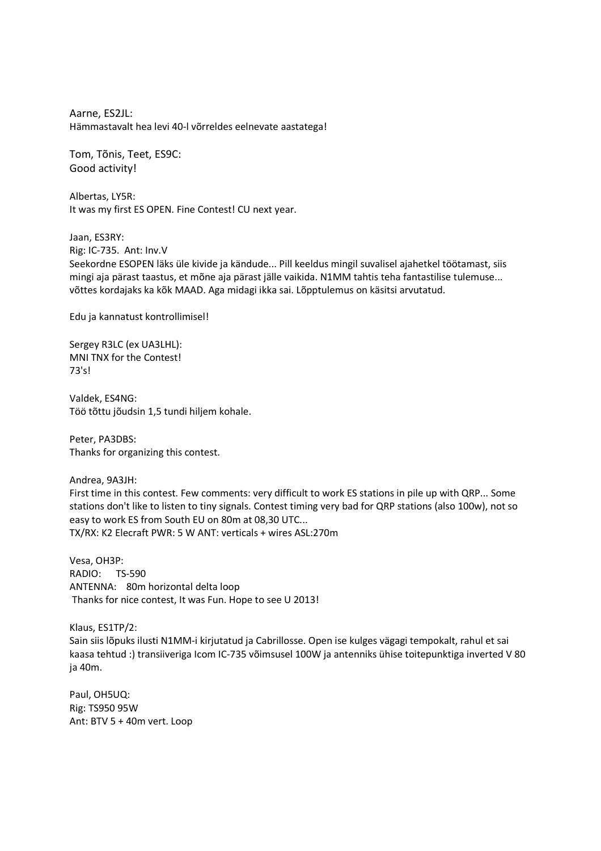Aarne, ES2JL: Hämmastavalt hea levi 40-l võrreldes eelnevate aastatega!

Tom, Tõnis, Teet, ES9C: Good activity!

Albertas, LY5R: It was my first ES OPEN. Fine Contest! CU next year.

Jaan, ES3RY: Rig: IC-735. Ant: Inv.V Seekordne ESOPEN läks üle kivide ja kändude... Pill keeldus mingil suvalisel ajahetkel töötamast, siis mingi aja pärast taastus, et mõne aja pärast jälle vaikida. N1MM tahtis teha fantastilise tulemuse... võttes kordajaks ka kõk MAAD. Aga midagi ikka sai. Lõpptulemus on käsitsi arvutatud.

Edu ja kannatust kontrollimisel!

Sergey R3LC (ex UA3LHL): MNI TNX for the Contest! 73's!

Valdek, ES4NG: Töö tõttu jõudsin 1,5 tundi hiljem kohale.

Peter, PA3DBS: Thanks for organizing this contest.

Andrea, 9A3JH:

First time in this contest. Few comments: very difficult to work ES stations in pile up with QRP... Some stations don't like to listen to tiny signals. Contest timing very bad for QRP stations (also 100w), not so easy to work ES from South EU on 80m at 08,30 UTC... TX/RX: K2 Elecraft PWR: 5 W ANT: verticals + wires ASL:270m

Vesa, OH3P: RADIO: TS-590 ANTENNA: 80m horizontal delta loop Thanks for nice contest, It was Fun. Hope to see U 2013!

Klaus, ES1TP/2: Sain siis lõpuks ilusti N1MM-i kirjutatud ja Cabrillosse. Open ise kulges vägagi tempokalt, rahul et sai kaasa tehtud :) transiiveriga Icom IC-735 võimsusel 100W ja antenniks ühise toitepunktiga inverted V 80 ja 40m.

Paul, OH5UQ: Rig: TS950 95W Ant: BTV 5 + 40m vert. Loop